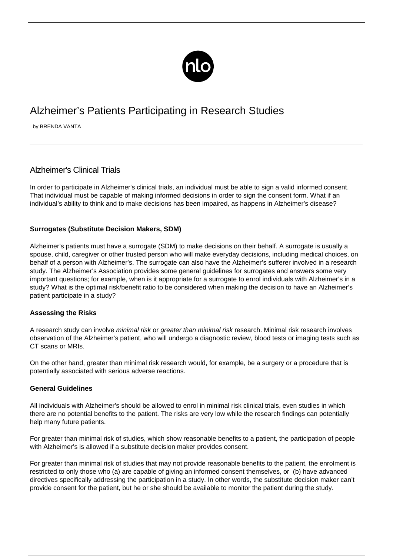

# Alzheimer's Patients Participating in Research Studies

by BRENDA VANTA

# Alzheimer's Clinical Trials

In order to participate in Alzheimer's clinical trials, an individual must be able to sign a valid informed consent. That individual must be capable of making informed decisions in order to sign the consent form. What if an individual's ability to think and to make decisions has been impaired, as happens in Alzheimer's disease?

## **Surrogates (Substitute Decision Makers, SDM)**

Alzheimer's patients must have a surrogate (SDM) to make decisions on their behalf. A [surrogate](/caring-loved-one/) is usually a spouse, child, caregiver or other trusted person who will make everyday decisions, including medical choices, on behalf of a person with Alzheimer's. The surrogate can also have the Alzheimer's sufferer involved in a research study. The Alzheimer's Association provides some general guidelines for surrogates and answers some very important questions; for example, when is it appropriate for a surrogate to enrol individuals with Alzheimer's in a study? What is the optimal risk/benefit ratio to be considered when making the decision to have an Alzheimer's patient participate in a study?

#### **Assessing the Risks**

A research study can involve minimal risk or greater than minimal risk research. Minimal risk research involves observation of the Alzheimer's patient, who will undergo a diagnostic review, blood tests or imaging tests such as CT scans or MRIs.

On the other hand, greater than minimal risk research would, for example, be a surgery or a procedure that is potentially associated with serious adverse reactions.

#### **General Guidelines**

All individuals with Alzheimer's should be allowed to enrol in minimal risk clinical trials, even studies in which there are no potential benefits to the patient. The risks are very low while the research findings can potentially help many future patients.

For greater than minimal risk of studies, which show reasonable benefits to a patient, the participation of people with Alzheimer's is allowed if a substitute decision maker provides consent.

For greater than minimal risk of studies that may not provide reasonable benefits to the patient, the enrolment is restricted to only those who (a) are capable of giving an informed consent themselves, or (b) have advanced directives specifically addressing the participation in a study. In other words, the substitute decision maker can't provide consent for the patient, but he or she should be available to monitor the patient during the study.